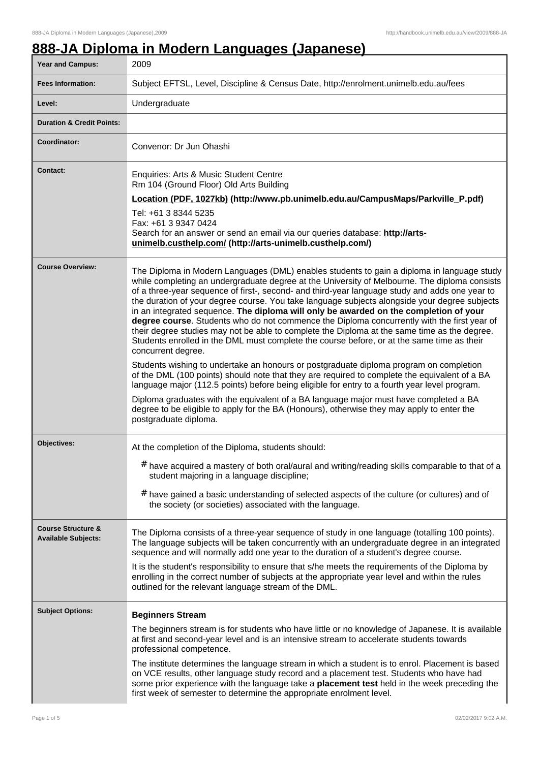# **888-JA Diploma in Modern Languages (Japanese)**

| Year and Campus:                                            | 2009                                                                                                                                                                                                                                                                                                                                                                                                                                                                                                                                                                                                                                                                                                                                                                                                                                                                                                                                                                                                                                                                                                                                                                                                                                                                                                                   |  |
|-------------------------------------------------------------|------------------------------------------------------------------------------------------------------------------------------------------------------------------------------------------------------------------------------------------------------------------------------------------------------------------------------------------------------------------------------------------------------------------------------------------------------------------------------------------------------------------------------------------------------------------------------------------------------------------------------------------------------------------------------------------------------------------------------------------------------------------------------------------------------------------------------------------------------------------------------------------------------------------------------------------------------------------------------------------------------------------------------------------------------------------------------------------------------------------------------------------------------------------------------------------------------------------------------------------------------------------------------------------------------------------------|--|
| <b>Fees Information:</b>                                    | Subject EFTSL, Level, Discipline & Census Date, http://enrolment.unimelb.edu.au/fees                                                                                                                                                                                                                                                                                                                                                                                                                                                                                                                                                                                                                                                                                                                                                                                                                                                                                                                                                                                                                                                                                                                                                                                                                                   |  |
| Level:                                                      | Undergraduate                                                                                                                                                                                                                                                                                                                                                                                                                                                                                                                                                                                                                                                                                                                                                                                                                                                                                                                                                                                                                                                                                                                                                                                                                                                                                                          |  |
| <b>Duration &amp; Credit Points:</b>                        |                                                                                                                                                                                                                                                                                                                                                                                                                                                                                                                                                                                                                                                                                                                                                                                                                                                                                                                                                                                                                                                                                                                                                                                                                                                                                                                        |  |
| Coordinator:                                                | Convenor: Dr Jun Ohashi                                                                                                                                                                                                                                                                                                                                                                                                                                                                                                                                                                                                                                                                                                                                                                                                                                                                                                                                                                                                                                                                                                                                                                                                                                                                                                |  |
| <b>Contact:</b>                                             | Enquiries: Arts & Music Student Centre<br>Rm 104 (Ground Floor) Old Arts Building<br>Location (PDF, 1027kb) (http://www.pb.unimelb.edu.au/CampusMaps/Parkville_P.pdf)<br>Tel: +61 3 8344 5235<br>Fax: +61 3 9347 0424<br>Search for an answer or send an email via our queries database: http://arts-<br>unimelb.custhelp.com/ (http://arts-unimelb.custhelp.com/)                                                                                                                                                                                                                                                                                                                                                                                                                                                                                                                                                                                                                                                                                                                                                                                                                                                                                                                                                     |  |
| <b>Course Overview:</b>                                     | The Diploma in Modern Languages (DML) enables students to gain a diploma in language study<br>while completing an undergraduate degree at the University of Melbourne. The diploma consists<br>of a three-year sequence of first-, second- and third-year language study and adds one year to<br>the duration of your degree course. You take language subjects alongside your degree subjects<br>in an integrated sequence. The diploma will only be awarded on the completion of your<br>degree course. Students who do not commence the Diploma concurrently with the first year of<br>their degree studies may not be able to complete the Diploma at the same time as the degree.<br>Students enrolled in the DML must complete the course before, or at the same time as their<br>concurrent degree.<br>Students wishing to undertake an honours or postgraduate diploma program on completion<br>of the DML (100 points) should note that they are required to complete the equivalent of a BA<br>language major (112.5 points) before being eligible for entry to a fourth year level program.<br>Diploma graduates with the equivalent of a BA language major must have completed a BA<br>degree to be eligible to apply for the BA (Honours), otherwise they may apply to enter the<br>postgraduate diploma. |  |
| Objectives:                                                 | At the completion of the Diploma, students should:<br># have acquired a mastery of both oral/aural and writing/reading skills comparable to that of a<br>student majoring in a language discipline;<br># have gained a basic understanding of selected aspects of the culture (or cultures) and of<br>the society (or societies) associated with the language.                                                                                                                                                                                                                                                                                                                                                                                                                                                                                                                                                                                                                                                                                                                                                                                                                                                                                                                                                         |  |
| <b>Course Structure &amp;</b><br><b>Available Subjects:</b> | The Diploma consists of a three-year sequence of study in one language (totalling 100 points).<br>The language subjects will be taken concurrently with an undergraduate degree in an integrated<br>sequence and will normally add one year to the duration of a student's degree course.<br>It is the student's responsibility to ensure that s/he meets the requirements of the Diploma by<br>enrolling in the correct number of subjects at the appropriate year level and within the rules<br>outlined for the relevant language stream of the DML.                                                                                                                                                                                                                                                                                                                                                                                                                                                                                                                                                                                                                                                                                                                                                                |  |
| <b>Subject Options:</b>                                     | <b>Beginners Stream</b><br>The beginners stream is for students who have little or no knowledge of Japanese. It is available<br>at first and second-year level and is an intensive stream to accelerate students towards<br>professional competence.<br>The institute determines the language stream in which a student is to enrol. Placement is based<br>on VCE results, other language study record and a placement test. Students who have had<br>some prior experience with the language take a placement test held in the week preceding the<br>first week of semester to determine the appropriate enrolment level.                                                                                                                                                                                                                                                                                                                                                                                                                                                                                                                                                                                                                                                                                             |  |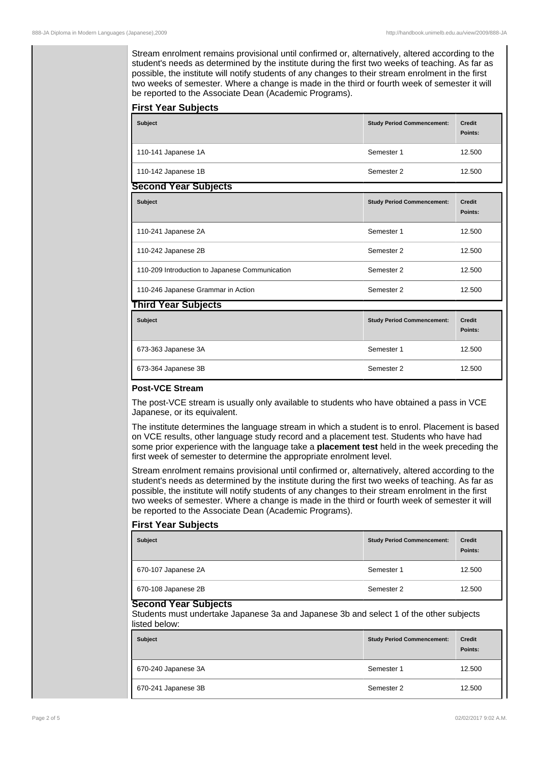Stream enrolment remains provisional until confirmed or, alternatively, altered according to the student's needs as determined by the institute during the first two weeks of teaching. As far as possible, the institute will notify students of any changes to their stream enrolment in the first two weeks of semester. Where a change is made in the third or fourth week of semester it will be reported to the Associate Dean (Academic Programs).

| <b>First Year Subjects</b><br><b>Subject</b> | <b>Study Period Commencement:</b> | <b>Credit</b><br>Points: |
|----------------------------------------------|-----------------------------------|--------------------------|
| 110-141 Japanese 1A                          | Semester 1                        | 12.500                   |
| 110-142 Japanese 1B                          | Semester 2                        | 12.500                   |
| <b>Second Year Subjects</b>                  |                                   |                          |
| <b>Subject</b>                               | <b>Study Period Commencement:</b> | <b>Credit</b>            |

| <b>Subject</b>                                 | <b>Study Period Commencement:</b> | <b>Credit</b><br>Points: |
|------------------------------------------------|-----------------------------------|--------------------------|
| 110-241 Japanese 2A                            | Semester 1                        | 12.500                   |
| 110-242 Japanese 2B                            | Semester 2                        | 12.500                   |
| 110-209 Introduction to Japanese Communication | Semester 2                        | 12.500                   |
| 110-246 Japanese Grammar in Action             | Semester 2                        | 12.500                   |

| <b>Third Year Subjects</b> |                                   |                          |
|----------------------------|-----------------------------------|--------------------------|
| <b>Subject</b>             | <b>Study Period Commencement:</b> | <b>Credit</b><br>Points: |
| 673-363 Japanese 3A        | Semester 1                        | 12.500                   |
| 673-364 Japanese 3B        | Semester 2                        | 12.500                   |

#### **Post-VCE Stream**

The post-VCE stream is usually only available to students who have obtained a pass in VCE Japanese, or its equivalent.

The institute determines the language stream in which a student is to enrol. Placement is based on VCE results, other language study record and a placement test. Students who have had some prior experience with the language take a **placement test** held in the week preceding the first week of semester to determine the appropriate enrolment level.

Stream enrolment remains provisional until confirmed or, alternatively, altered according to the student's needs as determined by the institute during the first two weeks of teaching. As far as possible, the institute will notify students of any changes to their stream enrolment in the first two weeks of semester. Where a change is made in the third or fourth week of semester it will be reported to the Associate Dean (Academic Programs).

### **First Year Subjects**

| <b>Subject</b>      | <b>Study Period Commencement:</b> | <b>Credit</b><br>Points: |
|---------------------|-----------------------------------|--------------------------|
| 670-107 Japanese 2A | Semester 1                        | 12.500                   |
| 670-108 Japanese 2B | Semester 2                        | 12.500                   |

### **Second Year Subjects**

Students must undertake Japanese 3a and Japanese 3b and select 1 of the other subjects listed below:

| <b>Subject</b>      | <b>Study Period Commencement:</b> | <b>Credit</b><br>Points: |
|---------------------|-----------------------------------|--------------------------|
| 670-240 Japanese 3A | Semester 1                        | 12.500                   |
| 670-241 Japanese 3B | Semester 2                        | 12.500                   |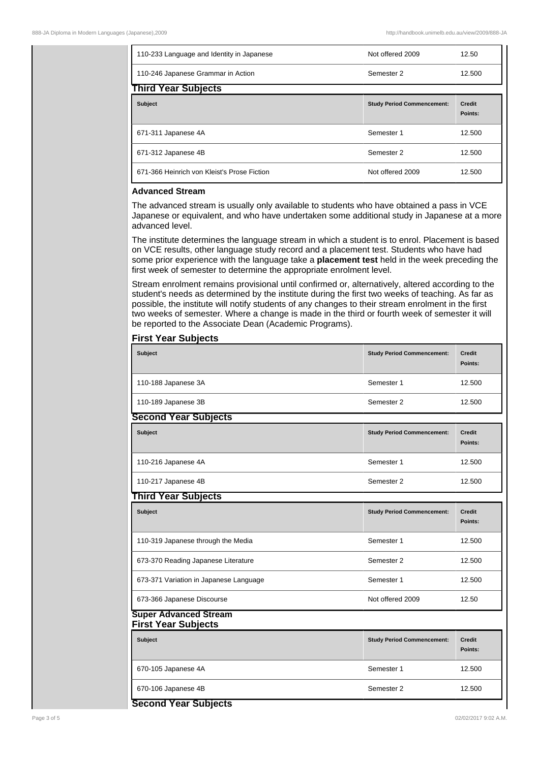| 110-233 Language and Identity in Japanese   | Not offered 2009                  | 12.50                    |
|---------------------------------------------|-----------------------------------|--------------------------|
| 110-246 Japanese Grammar in Action          | Semester 2                        | 12.500                   |
| <b>Third Year Subjects</b>                  |                                   |                          |
| <b>Subject</b>                              | <b>Study Period Commencement:</b> | <b>Credit</b><br>Points: |
| 671-311 Japanese 4A                         | Semester 1                        | 12.500                   |
| 671-312 Japanese 4B                         | Semester 2                        | 12.500                   |
| 671-366 Heinrich von Kleist's Prose Fiction | Not offered 2009                  | 12.500                   |

## **Advanced Stream**

The advanced stream is usually only available to students who have obtained a pass in VCE Japanese or equivalent, and who have undertaken some additional study in Japanese at a more advanced level.

The institute determines the language stream in which a student is to enrol. Placement is based on VCE results, other language study record and a placement test. Students who have had some prior experience with the language take a **placement test** held in the week preceding the first week of semester to determine the appropriate enrolment level.

Stream enrolment remains provisional until confirmed or, alternatively, altered according to the student's needs as determined by the institute during the first two weeks of teaching. As far as possible, the institute will notify students of any changes to their stream enrolment in the first two weeks of semester. Where a change is made in the third or fourth week of semester it will be reported to the Associate Dean (Academic Programs).

| <b>Subject</b>                                             | <b>Study Period Commencement:</b> | <b>Credit</b><br>Points: |
|------------------------------------------------------------|-----------------------------------|--------------------------|
| 110-188 Japanese 3A                                        | Semester 1                        | 12.500                   |
| 110-189 Japanese 3B                                        | Semester 2                        | 12.500                   |
| <b>Second Year Subjects</b>                                |                                   |                          |
| <b>Subject</b>                                             | <b>Study Period Commencement:</b> | <b>Credit</b><br>Points: |
| 110-216 Japanese 4A                                        | Semester 1                        | 12.500                   |
| 110-217 Japanese 4B                                        | Semester 2                        | 12.500                   |
| <b>Third Year Subjects</b>                                 |                                   |                          |
| <b>Subject</b>                                             | <b>Study Period Commencement:</b> | <b>Credit</b><br>Points: |
| 110-319 Japanese through the Media                         | Semester 1                        | 12.500                   |
| 673-370 Reading Japanese Literature                        | Semester 2                        | 12.500                   |
| 673-371 Variation in Japanese Language                     | Semester 1                        | 12.500                   |
| 673-366 Japanese Discourse                                 | Not offered 2009                  | 12.50                    |
| <b>Super Advanced Stream</b><br><b>First Year Subjects</b> |                                   |                          |
| <b>Subject</b>                                             | <b>Study Period Commencement:</b> | <b>Credit</b><br>Points: |
| 670-105 Japanese 4A                                        | Semester 1                        | 12.500                   |
| 670-106 Japanese 4B                                        | Semester 2                        | 12.500                   |

#### **First Year Subjects**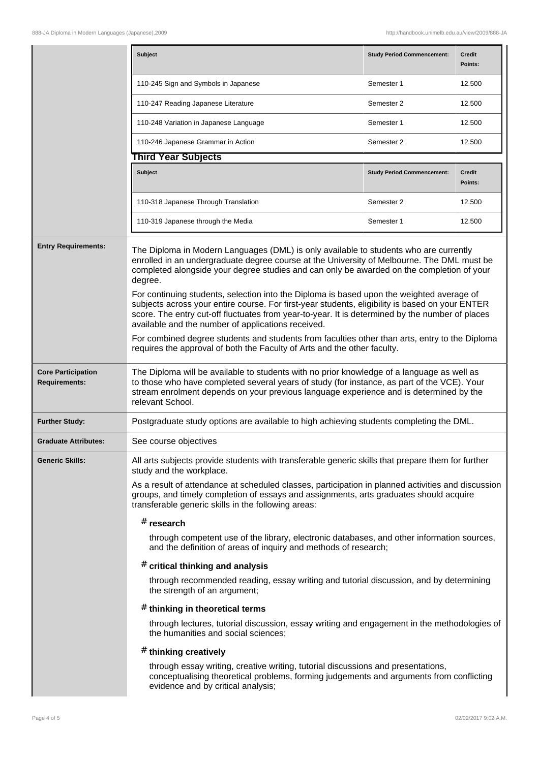|                                                                                                                                                       | <b>Subject</b>                                                                                                                                                                                                                                                                                                                                                                                                                                                                              | <b>Study Period Commencement:</b> | <b>Credit</b><br>Points: |
|-------------------------------------------------------------------------------------------------------------------------------------------------------|---------------------------------------------------------------------------------------------------------------------------------------------------------------------------------------------------------------------------------------------------------------------------------------------------------------------------------------------------------------------------------------------------------------------------------------------------------------------------------------------|-----------------------------------|--------------------------|
|                                                                                                                                                       | 110-245 Sign and Symbols in Japanese                                                                                                                                                                                                                                                                                                                                                                                                                                                        | Semester 1                        | 12.500                   |
|                                                                                                                                                       | 110-247 Reading Japanese Literature                                                                                                                                                                                                                                                                                                                                                                                                                                                         | Semester 2                        | 12.500                   |
|                                                                                                                                                       | 110-248 Variation in Japanese Language                                                                                                                                                                                                                                                                                                                                                                                                                                                      | Semester 1                        | 12.500                   |
|                                                                                                                                                       | 110-246 Japanese Grammar in Action                                                                                                                                                                                                                                                                                                                                                                                                                                                          | Semester 2                        | 12.500                   |
|                                                                                                                                                       | <b>Third Year Subjects</b>                                                                                                                                                                                                                                                                                                                                                                                                                                                                  |                                   |                          |
|                                                                                                                                                       | Subject                                                                                                                                                                                                                                                                                                                                                                                                                                                                                     | <b>Study Period Commencement:</b> | <b>Credit</b><br>Points: |
|                                                                                                                                                       | 110-318 Japanese Through Translation                                                                                                                                                                                                                                                                                                                                                                                                                                                        | Semester 2                        | 12.500                   |
|                                                                                                                                                       | 110-319 Japanese through the Media                                                                                                                                                                                                                                                                                                                                                                                                                                                          | Semester 1                        | 12.500                   |
| <b>Entry Requirements:</b>                                                                                                                            | The Diploma in Modern Languages (DML) is only available to students who are currently<br>enrolled in an undergraduate degree course at the University of Melbourne. The DML must be<br>completed alongside your degree studies and can only be awarded on the completion of your<br>degree.<br>For continuing students, selection into the Diploma is based upon the weighted average of<br>subjects across your entire course. For first-year students, eligibility is based on your ENTER |                                   |                          |
| score. The entry cut-off fluctuates from year-to-year. It is determined by the number of places<br>available and the number of applications received. |                                                                                                                                                                                                                                                                                                                                                                                                                                                                                             |                                   |                          |
|                                                                                                                                                       | For combined degree students and students from faculties other than arts, entry to the Diploma<br>requires the approval of both the Faculty of Arts and the other faculty.                                                                                                                                                                                                                                                                                                                  |                                   |                          |
| <b>Core Participation</b><br><b>Requirements:</b>                                                                                                     | The Diploma will be available to students with no prior knowledge of a language as well as<br>to those who have completed several years of study (for instance, as part of the VCE). Your<br>stream enrolment depends on your previous language experience and is determined by the<br>relevant School.                                                                                                                                                                                     |                                   |                          |
| <b>Further Study:</b>                                                                                                                                 | Postgraduate study options are available to high achieving students completing the DML.                                                                                                                                                                                                                                                                                                                                                                                                     |                                   |                          |
| <b>Graduate Attributes:</b>                                                                                                                           | See course objectives                                                                                                                                                                                                                                                                                                                                                                                                                                                                       |                                   |                          |
| <b>Generic Skills:</b>                                                                                                                                | All arts subjects provide students with transferable generic skills that prepare them for further<br>study and the workplace.                                                                                                                                                                                                                                                                                                                                                               |                                   |                          |
|                                                                                                                                                       | As a result of attendance at scheduled classes, participation in planned activities and discussion<br>groups, and timely completion of essays and assignments, arts graduates should acquire<br>transferable generic skills in the following areas:                                                                                                                                                                                                                                         |                                   |                          |
|                                                                                                                                                       | $#$ research                                                                                                                                                                                                                                                                                                                                                                                                                                                                                |                                   |                          |
|                                                                                                                                                       | through competent use of the library, electronic databases, and other information sources,<br>and the definition of areas of inquiry and methods of research;                                                                                                                                                                                                                                                                                                                               |                                   |                          |
|                                                                                                                                                       | $#$ critical thinking and analysis                                                                                                                                                                                                                                                                                                                                                                                                                                                          |                                   |                          |
|                                                                                                                                                       | through recommended reading, essay writing and tutorial discussion, and by determining<br>the strength of an argument;                                                                                                                                                                                                                                                                                                                                                                      |                                   |                          |
|                                                                                                                                                       | $#$ thinking in theoretical terms                                                                                                                                                                                                                                                                                                                                                                                                                                                           |                                   |                          |
|                                                                                                                                                       | through lectures, tutorial discussion, essay writing and engagement in the methodologies of<br>the humanities and social sciences;                                                                                                                                                                                                                                                                                                                                                          |                                   |                          |
|                                                                                                                                                       | # thinking creatively                                                                                                                                                                                                                                                                                                                                                                                                                                                                       |                                   |                          |
|                                                                                                                                                       | through essay writing, creative writing, tutorial discussions and presentations,<br>conceptualising theoretical problems, forming judgements and arguments from conflicting<br>evidence and by critical analysis;                                                                                                                                                                                                                                                                           |                                   |                          |